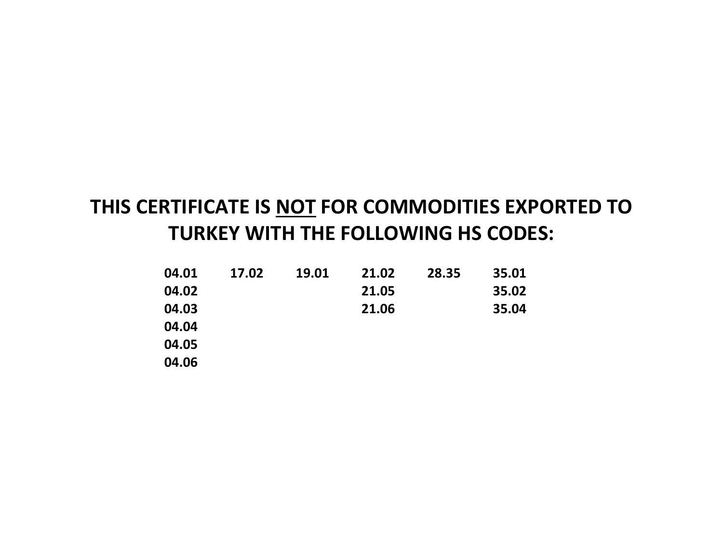## **THIS CERTIFICATE IS NOT FOR COMMODITIES EXPORTED TO TURKEY WITH THE FOLLOWING HS CODES:**

| 04.01 | 17.02 | 19.01 | 21.02 | 28.35 | 35.01 |
|-------|-------|-------|-------|-------|-------|
| 04.02 |       |       | 21.05 |       | 35.02 |
| 04.03 |       |       | 21.06 |       | 35.04 |
| 04.04 |       |       |       |       |       |
| 04.05 |       |       |       |       |       |
| 04.06 |       |       |       |       |       |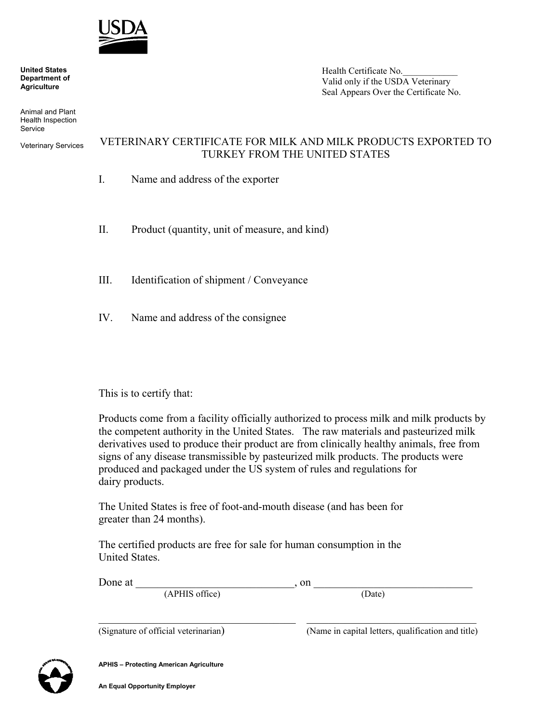

 **United States Department of Agriculture**

 Animal and Plant Health Inspection **Service** 

Veterinary Services

## Health Certificate No. Valid only if the USDA Veterinary Seal Appears Over the Certificate No.

## VETERINARY CERTIFICATE FOR MILK AND MILK PRODUCTS EXPORTED TO TURKEY FROM THE UNITED STATES

- I. Name and address of the exporter
- II. Product (quantity, unit of measure, and kind)
- III. Identification of shipment / Conveyance
- IV. Name and address of the consignee

## This is to certify that:

Products come from a facility officially authorized to process milk and milk products by the competent authority in the United States. The raw materials and pasteurized milk derivatives used to produce their product are from clinically healthy animals, free from signs of any disease transmissible by pasteurized milk products. The products were produced and packaged under the US system of rules and regulations for dairy products.

The United States is free of foot-and-mouth disease (and has been for greater than 24 months).

The certified products are free for sale for human consumption in the United States.

| Done at        | on                                                       |  |  |  |
|----------------|----------------------------------------------------------|--|--|--|
| (APHIS office) | (Date)                                                   |  |  |  |
|                |                                                          |  |  |  |
| $\overline{C}$ | $\Delta$ $\alpha$ is conjugated by $\alpha$ and $\alpha$ |  |  |  |

(Signature of official veterinarian) (Name in capital letters, qualification and title)



**APHIS – Protecting American Agriculture**